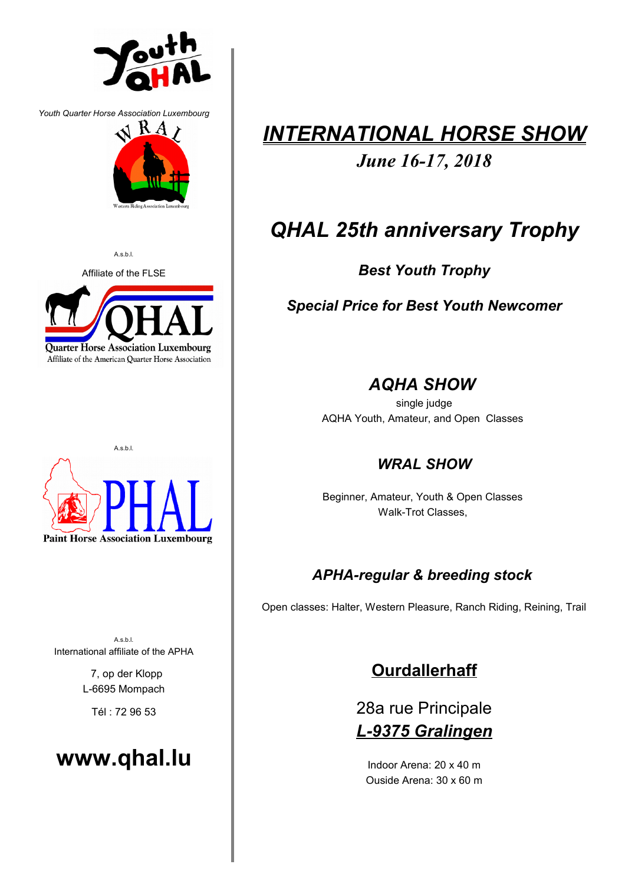

*Youth Quarter Horse Association Luxembourg*





Quarter Horse Association Luxembourg<br>Affiliate of the American Quarter Horse Association



 $Ashl$ International affiliate of the APHA

L-6695 Mompach

# **www.qhal.lu**  $\vert$  10000 mm  $\vert$  10000 mm  $\vert$  20 x 40 m

# *INTERNATIONAL HORSE SHOW June 16-17, 2018*

# *QHAL 25th anniversary Trophy*

Affiliate of the FLSE **Best Youth Trophy** 

**Special Price for Best Youth Newcomer** 

# *AQHA SHOW*

single judge AQHA Youth, Amateur, and Open Classes

# **WRAL SHOW**

Beginner, Amateur, Youth & Open Classes Walk-Trot Classes.

# *APHA-regular & breeding stock*

Open classes: Halter, Western Pleasure, Ranch Riding, Reining, Trail

# 7, op der Klopp **Ourdallerhaff**

Tél : 72 96 53 28a rue Principale *L-9375 Gralingen*

Ouside Arena: 30 x 60 m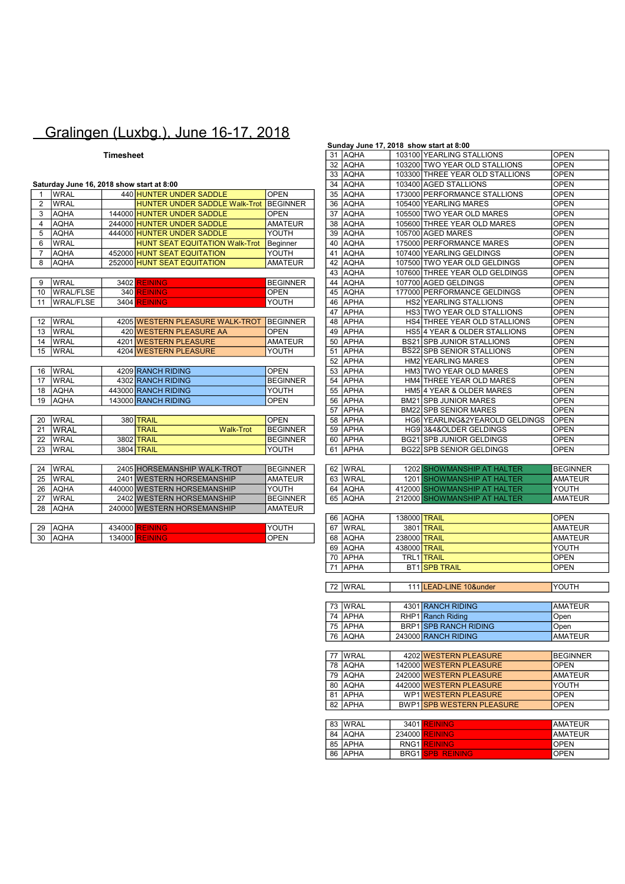# Gralingen (Luxbg.), June 16-17, 2018

|                |                                           |                                       |                 |    | 33 TAQHA    |              | 103300 THREE YEAR OLD STALLIONS         | UPEN            |
|----------------|-------------------------------------------|---------------------------------------|-----------------|----|-------------|--------------|-----------------------------------------|-----------------|
|                | Saturday June 16, 2018 show start at 8:00 |                                       |                 | 34 | <b>AQHA</b> |              | 103400 AGED STALLIONS                   | <b>OPEN</b>     |
|                | WRAL                                      | 440 HUNTER UNDER SADDLE               | <b>OPEN</b>     | 35 | <b>AQHA</b> |              | 173000 PERFORMANCE STALLIONS            | <b>OPEN</b>     |
| $\overline{2}$ | <b>WRAL</b>                               | <b>HUNTER UNDER SADDLE Walk-Trot</b>  | <b>BEGINNER</b> | 36 | <b>AQHA</b> |              | 105400 YEARLING MARES                   | <b>OPEN</b>     |
| 3              | <b>AQHA</b>                               | 144000 HUNTER UNDER SADDLE            | <b>OPEN</b>     | 37 | <b>AQHA</b> |              | 105500 TWO YEAR OLD MARES               | <b>OPEN</b>     |
| $\overline{4}$ | <b>AQHA</b>                               | 244000 HUNTER UNDER SADDLE            | <b>AMATEUR</b>  | 38 | <b>AQHA</b> |              | 105600 THREE YEAR OLD MARES             | <b>OPEN</b>     |
| 5              | <b>AQHA</b>                               | 444000 HUNTER UNDER SADDLE            | YOUTH           | 39 | <b>AQHA</b> |              | 105700 AGED MARES                       | <b>OPEN</b>     |
| 6              | <b>WRAL</b>                               | <b>HUNT SEAT EQUITATION Walk-Trot</b> | Beginner        | 40 | AQHA        |              | 175000 PERFORMANCE MARES                | <b>OPEN</b>     |
| $\overline{7}$ | <b>AQHA</b>                               | 452000 HUNT SEAT EQUITATION           | YOUTH           | 41 | <b>AQHA</b> |              | 107400 YEARLING GELDINGS                | <b>OPEN</b>     |
| 8              | <b>AQHA</b>                               | 252000 HUNT SEAT EQUITATION           | <b>AMATEUR</b>  | 42 | <b>AQHA</b> |              | 107500 TWO YEAR OLD GELDINGS            | <b>OPEN</b>     |
|                |                                           |                                       |                 | 43 | <b>AQHA</b> |              | 107600 THREE YEAR OLD GELDINGS          | <b>OPEN</b>     |
| 9              | <b>WRAL</b>                               | 3402 REINING                          | <b>BEGINNER</b> | 44 | <b>AQHA</b> |              | 107700 AGED GELDINGS                    | <b>OPEN</b>     |
| 10             | <b>WRAL/FLSE</b>                          | 340 REINING                           | <b>OPEN</b>     | 45 | <b>AQHA</b> |              | 177000 PERFORMANCE GELDINGS             | <b>OPEN</b>     |
| -11            | <b>WRAL/FLSE</b>                          | 3404 REINING                          | YOUTH           | 46 | lapha       |              | <b>HS2 YEARLING STALLIONS</b>           | <b>OPEN</b>     |
|                |                                           |                                       |                 | 47 | lapha       |              | <b>HS3 TWO YEAR OLD STALLIONS</b>       | <b>OPEN</b>     |
| 12             | lwral                                     | 4205 WESTERN PLEASURE WALK-TROT       | <b>BEGINNER</b> | 48 | <b>APHA</b> |              | HS4 THREE YEAR OLD STALLIONS            | <b>OPEN</b>     |
| 13             | <b>WRAL</b>                               | 420 WESTERN PLEASURE AA               | <b>OPEN</b>     | 49 | lapha       |              | <b>HS5 4 YEAR &amp; OLDER STALLIONS</b> | <b>OPEN</b>     |
| 14             | <b>WRAL</b>                               | 4201 WESTERN PLEASURE                 | <b>AMATEUR</b>  | 50 | <b>APHA</b> |              | <b>BS21 SPB JUNIOR STALLIONS</b>        | <b>OPEN</b>     |
| 15             | <b>WRAL</b>                               | 4204 WESTERN PLEASURE                 | YOUTH           | 51 | <b>APHA</b> |              | <b>BS22 SPB SENIOR STALLIONS</b>        | <b>OPEN</b>     |
|                |                                           |                                       |                 | 52 | <b>APHA</b> |              | <b>HM2 YEARLING MARES</b>               | <b>OPEN</b>     |
| 16             | lwral                                     | 4209 RANCH RIDING                     | <b>OPEN</b>     | 53 | lapha       |              | HM3 TWO YEAR OLD MARES                  | <b>OPEN</b>     |
| 17             | <b>WRAL</b>                               | 4302 RANCH RIDING                     | <b>BEGINNER</b> | 54 | <b>APHA</b> |              | HM4 THREE YEAR OLD MARES                | <b>OPEN</b>     |
| 18             | <b>AQHA</b>                               | 443000 RANCH RIDING                   | YOUTH           | 55 | <b>APHA</b> |              | HM5 4 YEAR & OLDER MARES                | <b>OPEN</b>     |
| 19             | <b>AQHA</b>                               | 143000 RANCH RIDING                   | <b>OPEN</b>     | 56 | APHA        |              | <b>BM21 SPB JUNIOR MARES</b>            | <b>OPEN</b>     |
|                |                                           |                                       |                 | 57 | <b>APHA</b> |              | <b>BM22 SPB SENIOR MARES</b>            | <b>OPEN</b>     |
| 20             | WRAL                                      | 380 TRAIL                             | <b>OPEN</b>     | 58 | <b>APHA</b> |              | HG6 YEARLING&2YEAROLD GELDINGS          | <b>OPEN</b>     |
| 21             | <b>WRAL</b>                               | <b>TRAIL</b><br><b>Walk-Trot</b>      | <b>BEGINNER</b> | 59 | APHA        |              | HG9 3&4& OLDER GELDINGS                 | <b>OPEN</b>     |
| 22             | <b>WRAL</b>                               | 3802 TRAIL                            | <b>BEGINNER</b> | 60 | <b>APHA</b> |              | <b>BG21 SPB JUNIOR GELDINGS</b>         | <b>OPEN</b>     |
| 23             | <b>WRAL</b>                               | 3804 TRAIL                            | YOUTH           | 61 | APHA        |              | BG22 SPB SENIOR GELDINGS                | <b>OPEN</b>     |
|                |                                           |                                       |                 |    |             |              |                                         |                 |
| 24             | <b>WRAL</b>                               | 2405 HORSEMANSHIP WALK-TROT           | <b>BEGINNER</b> | 62 | <b>WRAL</b> |              | 1202 SHOWMANSHIP AT HALTER              | <b>BEGINNER</b> |
| 25             | <b>WRAL</b>                               | 2401 WESTERN HORSEMANSHIP             | <b>AMATEUR</b>  | 63 | <b>WRAL</b> |              | 1201 SHOWMANSHIP AT HALTER              | <b>AMATEUR</b>  |
| 26             | <b>AQHA</b>                               | 440000 WESTERN HORSEMANSHIP           | YOUTH           | 64 | <b>AQHA</b> |              | 412000 SHOWMANSHIP AT HALTER            | YOUTH           |
| 27             | <b>WRAL</b>                               | 2402 WESTERN HORSEMANSHIP             | <b>BEGINNER</b> | 65 | <b>AQHA</b> |              | 212000 SHOWMANSHIP AT HALTER            | <b>AMATEUR</b>  |
| 28             | AQHA                                      | 240000 WESTERN HORSEMANSHIP           | <b>AMATEUR</b>  |    |             |              |                                         |                 |
|                |                                           |                                       |                 | 66 | <b>AQHA</b> | 138000 TRAIL |                                         | <b>OPEN</b>     |
| 29             | <b>AQHA</b>                               | 434000 REINING                        | YOUTH           | 67 | <b>WRAL</b> |              | 3801 TRAIL                              | <b>AMATEUR</b>  |
| 3U             | <b>LAOHA</b>                              | 134000 <b>PEINING</b>                 | <b>ODEN</b>     |    | $68$ $ADH4$ | 238000 TRAIL |                                         | AMATELIR        |

| Sunday June 17, 2018 show start at 8:00 |                                          |                  |                                       |                 |    |                        |                                                                  |                                                     |                               |
|-----------------------------------------|------------------------------------------|------------------|---------------------------------------|-----------------|----|------------------------|------------------------------------------------------------------|-----------------------------------------------------|-------------------------------|
|                                         |                                          | <b>Timesheet</b> |                                       |                 |    | 31 AQHA                |                                                                  | 103100 YEARLING STALLIONS                           | <b>OPEN</b>                   |
|                                         |                                          |                  |                                       |                 |    | 32 AQHA                |                                                                  | 103200 TWO YEAR OLD STALLIONS                       | <b>OPEN</b>                   |
|                                         |                                          |                  |                                       |                 | 33 | <b>AQHA</b>            |                                                                  | 103300 THREE YEAR OLD STALLIONS                     | <b>OPEN</b>                   |
|                                         | aturday June 16, 2018 show start at 8:00 |                  |                                       |                 | 34 | AQHA                   |                                                                  | 103400 AGED STALLIONS                               | <b>OPEN</b>                   |
| $\mathbf{1}$                            | <b>WRAL</b>                              |                  | 440 HUNTER UNDER SADDLE               | <b>OPEN</b>     | 35 | AQHA                   |                                                                  | 173000 PERFORMANCE STALLIONS                        | <b>OPEN</b>                   |
| $\overline{2}$                          | <b>WRAL</b>                              |                  | <b>HUNTER UNDER SADDLE Walk-Trot</b>  | <b>BEGINNER</b> | 36 | <b>AQHA</b>            |                                                                  | 105400 YEARLING MARES                               | <b>OPEN</b>                   |
| 3                                       | AQHA                                     |                  | 144000 HUNTER UNDER SADDLE            | <b>OPEN</b>     | 37 | AQHA                   |                                                                  | 105500 TWO YEAR OLD MARES                           | <b>OPEN</b>                   |
| $\overline{4}$                          | <b>AQHA</b>                              |                  | 244000 HUNTER UNDER SADDLE            | <b>AMATEUR</b>  | 38 | AQHA                   |                                                                  | 105600 THREE YEAR OLD MARES                         | <b>OPEN</b>                   |
| 5                                       | <b>AQHA</b>                              |                  | 444000 HUNTER UNDER SADDLE            | <b>YOUTH</b>    | 39 | <b>AQHA</b>            |                                                                  | 105700 AGED MARES                                   | <b>OPEN</b>                   |
| 6                                       | <b>WRAL</b>                              |                  | <b>HUNT SEAT EQUITATION Walk-Trot</b> | Beginner        | 40 | <b>AQHA</b>            |                                                                  | 175000 PERFORMANCE MARES                            | <b>OPEN</b>                   |
| $\overline{7}$                          | <b>AQHA</b>                              |                  | 452000 HUNT SEAT EQUITATION           | YOUTH           | 41 | laqha                  |                                                                  | 107400 YEARLING GELDINGS                            | <b>OPEN</b>                   |
| 8                                       | <b>AQHA</b>                              |                  | 252000 HUNT SEAT EQUITATION           | <b>AMATEUR</b>  | 42 | <b>AQHA</b>            |                                                                  | 107500 TWO YEAR OLD GELDINGS                        | <b>OPEN</b>                   |
|                                         |                                          |                  |                                       |                 | 43 | AQHA                   |                                                                  | 107600 THREE YEAR OLD GELDINGS                      | <b>OPEN</b>                   |
| 9                                       | <b>WRAL</b>                              |                  | 3402 REINING                          | <b>BEGINNER</b> | 44 | AQHA                   |                                                                  | 107700 AGED GELDINGS                                | <b>OPEN</b>                   |
| 10 <sup>10</sup>                        | WRAL/FLSE                                |                  | 340 REINING                           | <b>OPEN</b>     | 45 | <b>AQHA</b>            |                                                                  | 177000 PERFORMANCE GELDINGS                         | <b>OPEN</b>                   |
| 11                                      | WRAL/FLSE                                |                  | 3404 REINING                          | YOUTH           | 46 | <b>APHA</b>            |                                                                  | <b>HS2 YEARLING STALLIONS</b>                       | <b>OPEN</b>                   |
|                                         |                                          |                  |                                       |                 | 47 | <b>APHA</b>            |                                                                  | HS3 TWO YEAR OLD STALLIONS                          | <b>OPEN</b>                   |
| 12                                      | <b>WRAL</b>                              |                  | 4205 WESTERN PLEASURE WALK-TROT       | <b>BEGINNER</b> | 48 | APHA                   |                                                                  | HS4 THREE YEAR OLD STALLIONS                        | <b>OPEN</b>                   |
| 13                                      | <b>WRAL</b>                              |                  | 420 WESTERN PLEASURE AA               | <b>OPEN</b>     | 49 | APHA                   |                                                                  | HS5 4 YEAR & OLDER STALLIONS                        | <b>OPEN</b>                   |
| 14                                      | <b>WRAL</b>                              | 4201             | <b>WESTERN PLEASURE</b>               | <b>AMATEUR</b>  | 50 | <b>APHA</b>            |                                                                  | <b>BS21 SPB JUNIOR STALLIONS</b>                    | <b>OPEN</b>                   |
| 15                                      | <b>WRAL</b>                              |                  | 4204 WESTERN PLEASURE                 | YOUTH           | 51 | <b>APHA</b>            |                                                                  | <b>BS22 SPB SENIOR STALLIONS</b>                    | <b>OPEN</b>                   |
|                                         |                                          |                  |                                       |                 | 52 | <b>APHA</b>            |                                                                  | <b>HM2 YEARLING MARES</b>                           | <b>OPEN</b>                   |
| 16                                      | <b>WRAL</b>                              |                  | 4209 RANCH RIDING                     | <b>OPEN</b>     | 53 | <b>APHA</b>            |                                                                  | HM3 TWO YEAR OLD MARES                              | <b>OPEN</b>                   |
| 17                                      | WRAL                                     |                  | 4302 RANCH RIDING                     | <b>BEGINNER</b> |    | 54 APHA                |                                                                  | HM4 THREE YEAR OLD MARES                            | <b>OPEN</b>                   |
| 18                                      | <b>AQHA</b>                              |                  | 443000 RANCH RIDING                   | YOUTH           | 55 | APHA                   |                                                                  | HM5 4 YEAR & OLDER MARES                            | <b>OPEN</b>                   |
| 19                                      | AQHA                                     |                  | 143000 RANCH RIDING                   | <b>OPEN</b>     | 56 | <b>APHA</b>            |                                                                  | <b>BM21 SPB JUNIOR MARES</b>                        | <b>OPEN</b>                   |
|                                         |                                          |                  |                                       |                 | 57 | <b>APHA</b>            |                                                                  | <b>BM22 SPB SENIOR MARES</b>                        | <b>OPEN</b>                   |
| 20                                      | <b>WRAL</b>                              |                  | 380 TRAIL                             | <b>OPEN</b>     | 58 | <b>APHA</b>            |                                                                  | HG6 YEARLING&2YEAROLD GELDINGS                      | <b>OPEN</b>                   |
| 21                                      | <b>WRAL</b>                              |                  | <b>TRAIL</b><br><b>Walk-Trot</b>      | <b>BEGINNER</b> | 59 | <b>APHA</b>            |                                                                  | HG9 3&4&OLDER GELDINGS                              | <b>OPEN</b>                   |
| 22                                      | <b>WRAL</b>                              |                  | 3802 TRAIL                            | <b>BEGINNER</b> | 60 | <b>APHA</b>            |                                                                  | BG21 SPB JUNIOR GELDINGS                            | <b>OPEN</b>                   |
| 23                                      | WRAL                                     |                  | 3804 TRAIL                            | YOUTH           | 61 | <b>APHA</b>            |                                                                  | <b>BG22 SPB SENIOR GELDINGS</b>                     | <b>OPEN</b>                   |
|                                         |                                          |                  |                                       |                 |    |                        |                                                                  |                                                     |                               |
| 24                                      | <b>WRAL</b>                              |                  | 2405 HORSEMANSHIP WALK-TROT           | <b>BEGINNER</b> |    | 62 WRAL                |                                                                  | 1202 SHOWMANSHIP AT HALTER                          | <b>BEGINNER</b>               |
| 25                                      | <b>WRAL</b>                              |                  | 2401 WESTERN HORSEMANSHIP             | AMATEUR         | 63 | <b>WRAL</b>            |                                                                  | 1201 SHOWMANSHIP AT HALTER                          | AMATEUR                       |
| 26                                      | AQHA                                     |                  | 440000 WESTERN HORSEMANSHIP           | YOUTH           | 64 | <b>AQHA</b>            |                                                                  | 412000 SHOWMANSHIP AT HALTER                        | YOUTH                         |
| 27                                      | <b>WRAL</b>                              |                  | 2402 WESTERN HORSEMANSHIP             | <b>BEGINNER</b> |    | 65 AQHA                |                                                                  | 212000 SHOWMANSHIP AT HALTER                        | AMATEUR                       |
| 28                                      | AQHA                                     |                  | 240000 WESTERN HORSEMANSHIP           | <b>AMATEUR</b>  |    |                        |                                                                  |                                                     |                               |
|                                         |                                          |                  |                                       |                 | 66 | <b>AQHA</b>            | 138000 TRAIL                                                     |                                                     | <b>OPEN</b>                   |
| 29                                      | AQHA                                     |                  | 434000 <b>REINING</b>                 | YOUTH           |    | 67 WRAL                |                                                                  | 3801 TRAIL                                          | <b>AMATEUR</b>                |
| 30                                      | <b>AQHA</b>                              |                  | 134000 REINING                        | <b>OPEN</b>     | 68 | AQHA                   | 238000 TRAIL                                                     |                                                     | <b>AMATEUR</b>                |
|                                         |                                          |                  |                                       |                 | 69 | <b>AQHA</b>            | 438000 TRAIL                                                     |                                                     | YOUTH                         |
|                                         |                                          |                  |                                       |                 | 70 | APHA                   |                                                                  | TRL1 TRAIL                                          | <b>OPEN</b>                   |
|                                         |                                          |                  |                                       |                 | 71 | <b>APHA</b>            |                                                                  | <b>BT1</b> SPB TRAIL                                | <b>OPEN</b>                   |
|                                         |                                          |                  |                                       |                 |    |                        |                                                                  |                                                     |                               |
|                                         |                                          |                  |                                       |                 |    | 72   WRAL              |                                                                  | 111 LEAD-LINE 10&under                              | YOUTH                         |
|                                         |                                          |                  |                                       |                 |    |                        |                                                                  |                                                     |                               |
|                                         |                                          |                  |                                       |                 |    | 73 WRAL                |                                                                  | 4301 RANCH RIDING                                   | AMATEUR                       |
|                                         |                                          |                  |                                       |                 |    | 74   APHA              |                                                                  | RHP1 Ranch Riding                                   | Open                          |
|                                         |                                          |                  |                                       |                 |    | 75 APHA<br>76 AQHA     |                                                                  | <b>BRP1 SPB RANCH RIDING</b><br>243000 RANCH RIDING | Open<br><b>AMATEUR</b>        |
|                                         |                                          |                  |                                       |                 |    |                        |                                                                  |                                                     |                               |
|                                         |                                          |                  |                                       |                 |    | 77 WRAL                |                                                                  | 4202 WESTERN PLEASURE                               |                               |
|                                         |                                          |                  |                                       |                 |    | 78 AQHA                |                                                                  |                                                     | <b>BEGINNER</b>               |
|                                         |                                          |                  |                                       |                 |    | 79 AQHA                |                                                                  | 142000 WESTERN PLEASURE                             | <b>OPEN</b><br><b>AMATEUR</b> |
|                                         |                                          |                  |                                       |                 |    | 80 AQHA                |                                                                  | 242000 WESTERN PLEASURE<br>442000 WESTERN PLEASURE  |                               |
|                                         |                                          |                  |                                       |                 |    |                        |                                                                  | <b>WP1 WESTERN PLEASURE</b>                         | YOUTH                         |
|                                         |                                          |                  |                                       |                 |    | 81 APHA                |                                                                  | <b>BWP1 SPB WESTERN PLEASURE</b>                    | <b>OPEN</b><br><b>OPEN</b>    |
|                                         |                                          |                  |                                       |                 |    | 82 APHA                |                                                                  |                                                     |                               |
|                                         |                                          |                  |                                       |                 |    | $02$ $\overline{MDAI}$ | $\begin{array}{c c c c c c} & 2404 & \text{DEINIMO} \end{array}$ |                                                     | <b>AMATELID</b>               |

| 83 WRAL | 3401 <b>REINING</b>     | <b>AMATEUR</b> |
|---------|-------------------------|----------------|
| 84 AQHA | 234000 <b>REINING</b>   | <b>AMATEUR</b> |
| 85 APHA | RNG1 REINING            | OPFN           |
| 86 APHA | <b>BRG1 SPB REINING</b> | <b>OPEN</b>    |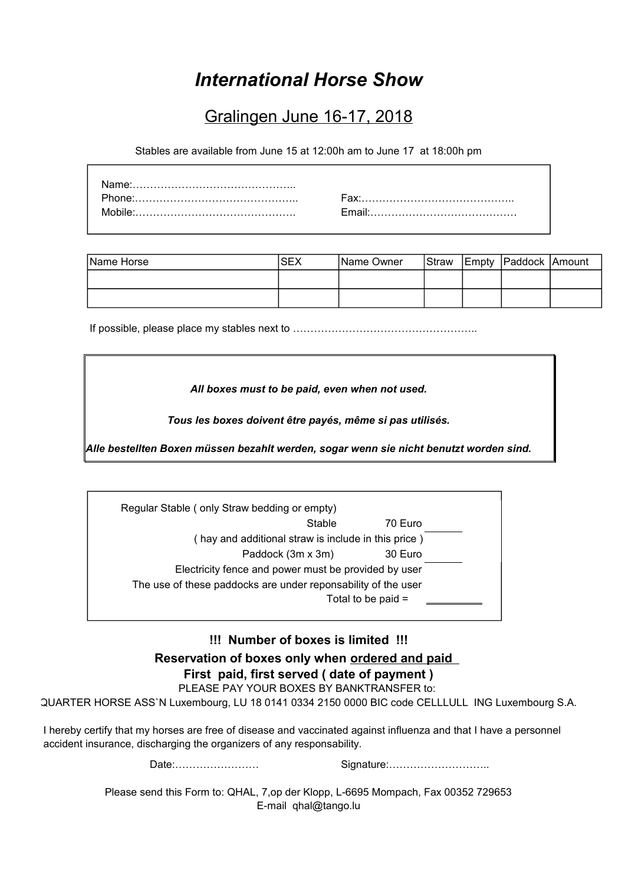# *International Horse Show*

# Gralingen June 16-17, 2018

Stables are available from June 15 at 12:00h am to June 17 at 18:00h pm

| Name: |      |
|-------|------|
|       | ⊢ax∵ |
|       |      |
|       |      |

| Name Horse | <b>SEX</b> | Name Owner | Straw | Empty Paddock Amount |  |
|------------|------------|------------|-------|----------------------|--|
|            |            |            |       |                      |  |
|            |            |            |       |                      |  |

If possible, please place my stables next to ……………………………………………..

*All boxes must to be paid, even when not used.*

*Tous les boxes doivent être payés, même si pas utilisés.*

*Alle bestellten Boxen müssen bezahlt werden, sogar wenn sie nicht benutzt worden sind.*

| Regular Stable (only Straw bedding or empty)                  |                                                     |                    |  |
|---------------------------------------------------------------|-----------------------------------------------------|--------------------|--|
|                                                               | Stable                                              | 70 Euro            |  |
|                                                               | (hay and additional straw is include in this price) |                    |  |
|                                                               | Paddock (3m x 3m)                                   | 30 Euro            |  |
| Electricity fence and power must be provided by user          |                                                     |                    |  |
| The use of these paddocks are under reponsability of the user |                                                     |                    |  |
|                                                               |                                                     | Total to be paid = |  |
|                                                               |                                                     |                    |  |

## **!!! Number of boxes is limited !!! First paid, first served ( date of payment ) Reservation of boxes only when ordered and paid**

PLEASE PAY YOUR BOXES BY BANKTRANSFER to:

QUARTER HORSE ASS`N Luxembourg, LU 18 0141 0334 2150 0000 BIC code CELLLULL ING Luxembourg S.A.

I hereby certify that my horses are free of disease and vaccinated against influenza and that I have a personnel accident insurance, discharging the organizers of any responsability.

Date:…………………… Signature:………………………..

Please send this Form to: QHAL, 7,op der Klopp, L-6695 Mompach, Fax 00352 729653 E-mail qhal@tango.lu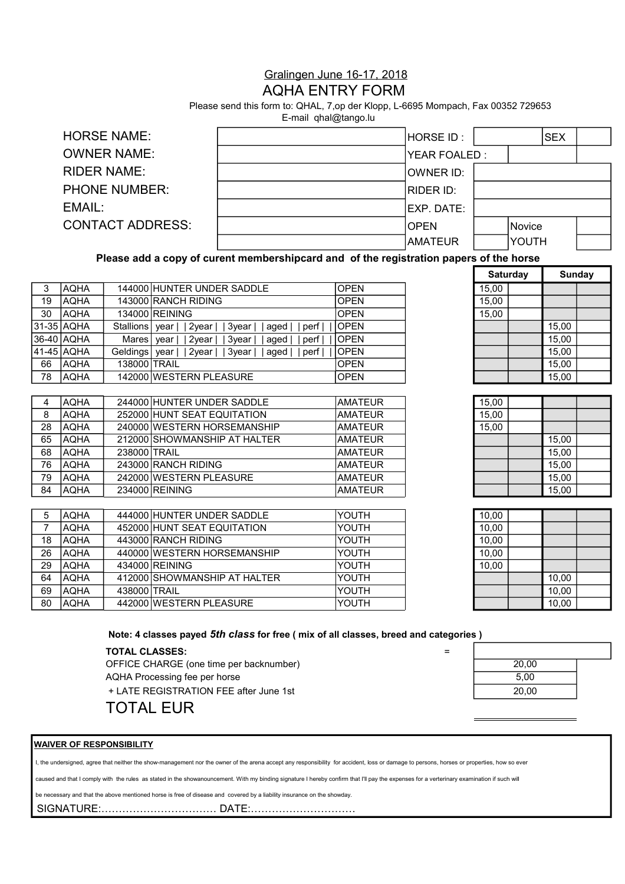### Gralingen June 16-17, 2018 AQHA ENTRY FORM

Please send this form to: QHAL, 7,op der Klopp, L-6695 Mompach, Fax 00352 729653

E-mail qhal@tango.lu

| <b>HORSE NAME:</b>      | HORSE ID:     | <b>SEX</b>    |  |
|-------------------------|---------------|---------------|--|
| <b>OWNER NAME:</b>      | YEAR FOALED : |               |  |
| <b>RIDER NAME:</b>      | IOWNER ID:    |               |  |
| <b>PHONE NUMBER:</b>    | IRIDER ID:    |               |  |
| EMAIL:                  | IEXP. DATE:   |               |  |
| <b>CONTACT ADDRESS:</b> | IOPEN         | <i>Novice</i> |  |
|                         | AMATEUR       | YOUTH         |  |

### **Please add a copy of curent membershipcard and of the registration papers of the horse**

|    |               |              |                                           |             |       | - |       |
|----|---------------|--------------|-------------------------------------------|-------------|-------|---|-------|
| 3  | <b>AQHA</b>   |              | 144000 HUNTER UNDER SADDLE                | <b>OPEN</b> | 15.00 |   |       |
| 19 | <b>AQHA</b>   |              | 143000 RANCH RIDING                       | <b>OPEN</b> | 15.00 |   |       |
| 30 | IAQHA         |              | 134000 REINING                            | <b>OPFN</b> | 15,00 |   |       |
|    | 131-35   AQHA | Stallions    | 2year<br>3year<br>perf<br>aged<br>year    | <b>OPEN</b> |       |   | 15,00 |
|    | 136-40   AQHA | Mares∣       | 2year<br>3year<br>aged<br>perf<br>vear    | <b>OPEN</b> |       |   | 15.00 |
|    | 141-45 AQHA   | Geldings     | $2$ year<br>aged<br>3year<br>perf<br>year | <b>OPEN</b> |       |   | 15.00 |
| 66 | IAQHA         | 138000 TRAIL |                                           | <b>OPEN</b> |       |   | 15.00 |
| 78 | <b>AQHA</b>   |              | 142000 WESTERN PLEASURE                   | <b>OPEN</b> |       |   | 15,00 |

| 4  | AQHA        |              | 244000 HUNTER UNDER SADDLE   | <b>AMATEUR</b> | 15.00 |       |
|----|-------------|--------------|------------------------------|----------------|-------|-------|
| 8  | IAQHA       |              | 252000 HUNT SEAT EQUITATION  | <b>AMATEUR</b> | 15.00 |       |
| 28 | <b>AQHA</b> |              | 240000 WESTERN HORSEMANSHIP  | <b>AMATEUR</b> | 15,00 |       |
| 65 | <b>AQHA</b> |              | 212000 SHOWMANSHIP AT HALTER | <b>AMATEUR</b> |       | 15,00 |
| 68 | IAQHA       | 238000 TRAIL |                              | <b>AMATEUR</b> |       | 15,00 |
| 76 | <b>AQHA</b> |              | 243000 RANCH RIDING          | <b>AMATEUR</b> |       | 15,00 |
| 79 | <b>AQHA</b> |              | 242000 WESTERN PLEASURE      | <b>AMATEUR</b> |       | 15,00 |
| 84 | <b>AQHA</b> |              | 234000 REINING               | <b>AMATEUR</b> |       | 15,00 |

| <b>AQHA</b> |                                  |                            |                                                                                                                                                                                |       |       |       |
|-------------|----------------------------------|----------------------------|--------------------------------------------------------------------------------------------------------------------------------------------------------------------------------|-------|-------|-------|
|             |                                  | 444000 HUNTER UNDER SADDLE | <b>YOUTH</b>                                                                                                                                                                   | 10.00 |       |       |
| <b>AQHA</b> |                                  |                            | <b>YOUTH</b>                                                                                                                                                                   |       |       |       |
| <b>AQHA</b> |                                  |                            | <b>YOUTH</b>                                                                                                                                                                   | 10,00 |       |       |
| <b>AQHA</b> |                                  |                            | <b>YOUTH</b>                                                                                                                                                                   | 10.00 |       |       |
| <b>AQHA</b> |                                  |                            | <b>YOUTH</b>                                                                                                                                                                   | 10,00 |       |       |
| <b>AQHA</b> |                                  |                            | <b>YOUTH</b>                                                                                                                                                                   |       |       | 10.00 |
| <b>AQHA</b> |                                  |                            | <b>YOUTH</b>                                                                                                                                                                   |       |       | 10,00 |
| <b>AQHA</b> |                                  |                            | YOUTH                                                                                                                                                                          |       |       | 10,00 |
|             | 18<br>26<br>29<br>64<br>69<br>80 |                            | 452000 HUNT SEAT EQUITATION<br>443000 RANCH RIDING<br>440000 WESTERN HORSEMANSHIP<br>434000 REINING<br>412000 SHOWMANSHIP AT HALTER<br>438000 TRAIL<br>442000 WESTERN PLEASURE |       | 10,00 |       |

# **Saturday Sunday**

| 15,00 |       |  |
|-------|-------|--|
| 15,00 |       |  |
| 15,00 |       |  |
|       | 15,00 |  |
|       | 15,00 |  |
|       | 15,00 |  |
|       | 15,00 |  |
|       | 15,00 |  |

| 10,00 |       |  |
|-------|-------|--|
| 10,00 |       |  |
| 10,00 |       |  |
| 10,00 |       |  |
| 10,00 |       |  |
|       | 10,00 |  |
|       | 10,00 |  |
|       | 10,00 |  |

**Note: 4 classes payed** *5th class* **for free ( mix of all classes, breed and categories )** 

**TOTAL CLASSES:** =

OFFICE CHARGE (one time per backnumber) AQHA Processing fee per horse

+ LATE REGISTRATION FEE after June 1st

TOTAL EUR

| 20,00 |  |
|-------|--|
| 5,00  |  |
| 20,00 |  |
|       |  |

### **WAIVER OF RESPONSIBILITY**

I, the undersigned, agree that neither the show-management nor the owner of the arena accept any responsibility for accident, loss or damage to persons, horses or properties, how so ever

caused and that I comply with the rules as stated in the showanouncement. With my binding signature I hereby confirm that I'll pay the expenses for a verterinary examination if such will

be necessary and that the above mentioned horse is free of disease and covered by a liability insurance on the showday.

SIGNATURE:…………………………… DATE:…………………………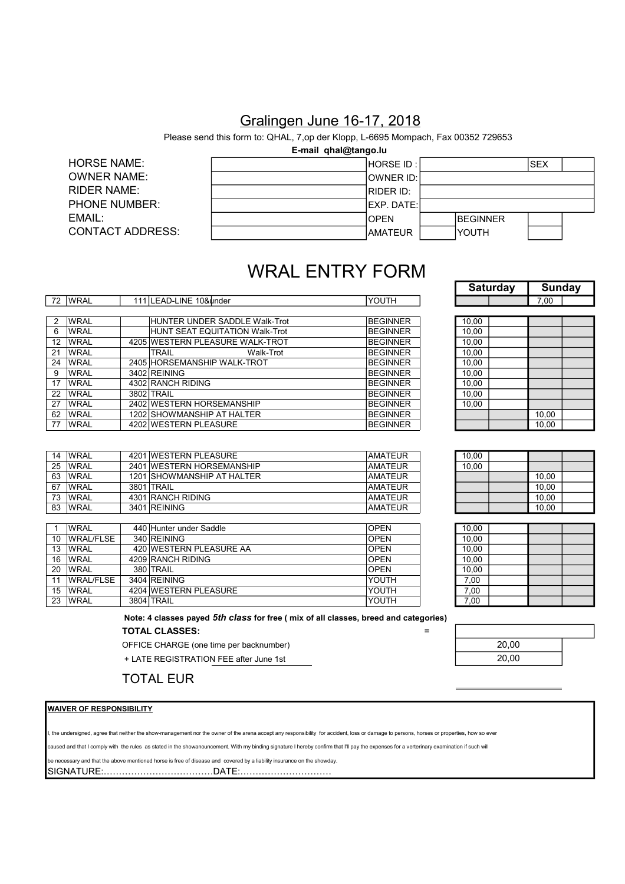# Gralingen June 16-17, 2018

Please send this form to: QHAL, 7,op der Klopp, L-6695 Mompach, Fax 00352 729653

**E-mail qhal@tango.lu**

| HORSE NAME:      | <b>HORSE ID:</b>   |                  | ISEX |  |
|------------------|--------------------|------------------|------|--|
| OWNER NAME:      | <b>IOWNER ID:</b>  |                  |      |  |
| RIDER NAME:      | <b>RIDER ID:</b>   |                  |      |  |
| PHONE NUMBER:    | <b>IEXP. DATE:</b> |                  |      |  |
| EMAIL:           | IOPFN              | <b>IBEGINNER</b> |      |  |
| CONTACT ADDRESS: | IAMATEUR           | IYOUTH           |      |  |
|                  |                    |                  |      |  |

# WRAL ENTRY FORM

| 72             | <b>WRAL</b> | 111 LEAD-LINE 10&under          | YOUTH           |       | 7,00  |
|----------------|-------------|---------------------------------|-----------------|-------|-------|
|                |             |                                 |                 |       |       |
| $\overline{2}$ | <b>WRAL</b> | HUNTER UNDER SADDLE Walk-Trot   | <b>BEGINNER</b> | 10.00 |       |
| 6              | <b>WRAL</b> | HUNT SEAT EQUITATION Walk-Trot  | <b>BEGINNER</b> | 10.00 |       |
| 12             | <b>WRAL</b> | 4205 WESTERN PLEASURE WALK-TROT | <b>BEGINNER</b> | 10.00 |       |
| 21             | <b>WRAL</b> | <b>TRAIL</b><br>Walk-Trot       | <b>BEGINNER</b> | 10.00 |       |
| 24             | <b>WRAL</b> | 2405 HORSEMANSHIP WALK-TROT     | <b>BEGINNER</b> | 10.00 |       |
| 9              | <b>WRAL</b> | 3402 REINING                    | <b>BEGINNER</b> | 10.00 |       |
| 17             | <b>WRAL</b> | 4302 RANCH RIDING               | <b>BEGINNER</b> | 10.00 |       |
| 22             | <b>WRAL</b> | 3802 TRAIL                      | <b>BEGINNER</b> | 10.00 |       |
| 27             | <b>WRAL</b> | 2402 WESTERN HORSEMANSHIP       | <b>BEGINNER</b> | 10.00 |       |
| 62             | <b>WRAL</b> | 1202 SHOWMANSHIP AT HALTER      | <b>BEGINNER</b> |       | 10.00 |
| 77             | <b>WRAL</b> | 4202 WESTERN PLEASURE           | <b>BEGINNER</b> |       | 10.00 |

| 14 | <b>WRAL</b>        | 4201 WESTERN PLEASURE      | <b>AMATEUR</b> | 10,00 |       |
|----|--------------------|----------------------------|----------------|-------|-------|
| 25 | <b>WRAL</b>        | 2401 WESTERN HORSEMANSHIP  | <b>AMATEUR</b> | 10.00 |       |
| 63 | <i><b>WRAL</b></i> | 1201 SHOWMANSHIP AT HALTER | <b>AMATEUR</b> |       | 10.00 |
| 67 | <b>WRAL</b>        | 3801 TRAIL                 | <b>AMATEUR</b> |       | 10.00 |
| 73 | <i><b>WRAL</b></i> | 4301 RANCH RIDING          | <b>AMATEUR</b> |       | 10.00 |
| 83 | <b>WRAL</b>        | 3401 REINING               | <b>AMATEUR</b> |       | 10.00 |

|    | <b>WRAL</b>      | 440 Hunter under Saddle | OPFN        | 10,00 |
|----|------------------|-------------------------|-------------|-------|
| 10 | <b>WRAL/FLSE</b> | 340 REINING             | <b>OPEN</b> | 10.00 |
| 13 | <b>WRAL</b>      | 420 WESTERN PLEASURE AA | <b>OPEN</b> | 10.00 |
| 16 | <b>WRAL</b>      | 4209 RANCH RIDING       | OPFN        | 10.00 |
| 20 | <b>WRAL</b>      | 380 TRAIL               | <b>OPEN</b> | 10.00 |
| 11 | WRAL/FLSE        | 3404 REINING            | YOUTH       | 7,00  |
| 15 | <b>WRAL</b>      | 4204 WESTERN PLEASURE   | YOUTH       | 7.00  |
| 23 | <b>WRAL</b>      | 3804 TRAIL              | YOUTH       | 7.00  |

**Saturday | Sunday** 

| 10,00 |       |  |
|-------|-------|--|
| 10,00 |       |  |
| 10,00 |       |  |
| 10,00 |       |  |
| 10,00 |       |  |
| 10,00 |       |  |
| 10,00 |       |  |
| 10,00 |       |  |
| 10,00 |       |  |
|       | 10,00 |  |
|       | 10,00 |  |

| 10,00 |       |  |
|-------|-------|--|
| 10,00 |       |  |
|       | 10,00 |  |
|       | 10,00 |  |
|       | 10,00 |  |
|       | 10,00 |  |

| 10,00 |  |  |
|-------|--|--|
| 10,00 |  |  |
| 10,00 |  |  |
| 10,00 |  |  |
| 10,00 |  |  |
| 7,00  |  |  |
| 7,00  |  |  |
| 7,00  |  |  |

**Note: 4 classes payed** *5th class* **for free ( mix of all classes, breed and categories)** 

**TOTAL CLASSES:** =

OFFICE CHARGE (one time per backnumber) 20,00

+ LATE REGISTRATION FEE after June 1st 20,00

TOTAL EUR

### **WAIVER OF RESPONSIBILITY**

the undersigned, agree that neither the show-management nor the owner of the arena accept any responsibility for accident, loss or damage to persons, horses or properties, how so ever

caused and that I comply with the rules as stated in the showanouncement. With my binding signature I hereby confirm that I'll pay the expenses for a verterinary examination if such will

be necessary and that the above mentioned horse is free of disease and covered by a liability insurance on the showday.

SIGNATURE:………………………………DATE:…………………………